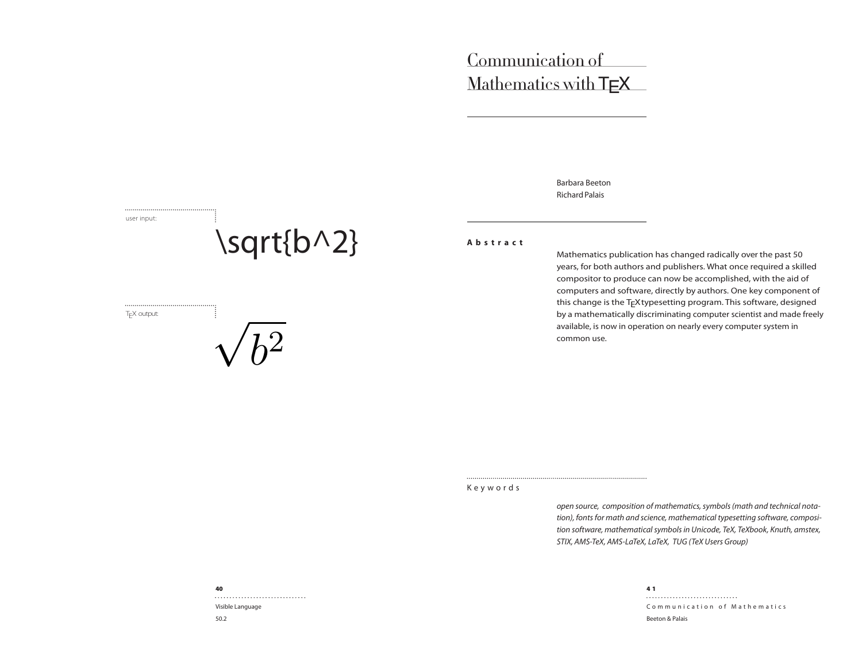# Communication of Mathematics with TEX

Barbara Beeton Richard Palais

user input:

# \sqrt{b^2}

T<sub>E</sub>X output:

√  $\overline{b}$  $\overline{2}$  **Abstract**

Mathematics publication has changed radically over the past 50 years, for both authors and publishers. What once required a skilled compositor to produce can now be accomplished, with the aid of computers and software, directly by authors. One key component of this change is the TEX typesetting program. This software, designed by a mathematically discriminating computer scientist and made freely available, is now in operation on nearly every computer system in common use.

Keywords

open source, composition of mathematics, symbols (math and technical notation), fonts for math and science, mathematical typesetting software, composition software, mathematical symbols in Unicode, TeX, TeXbook, Knuth, amstex, STIX, AMS-TeX, AMS-LaTeX, LaTeX, TUG (TeX Users Group)

Communication of Mathematics Beeton & Palais

40

Visible Language 50.2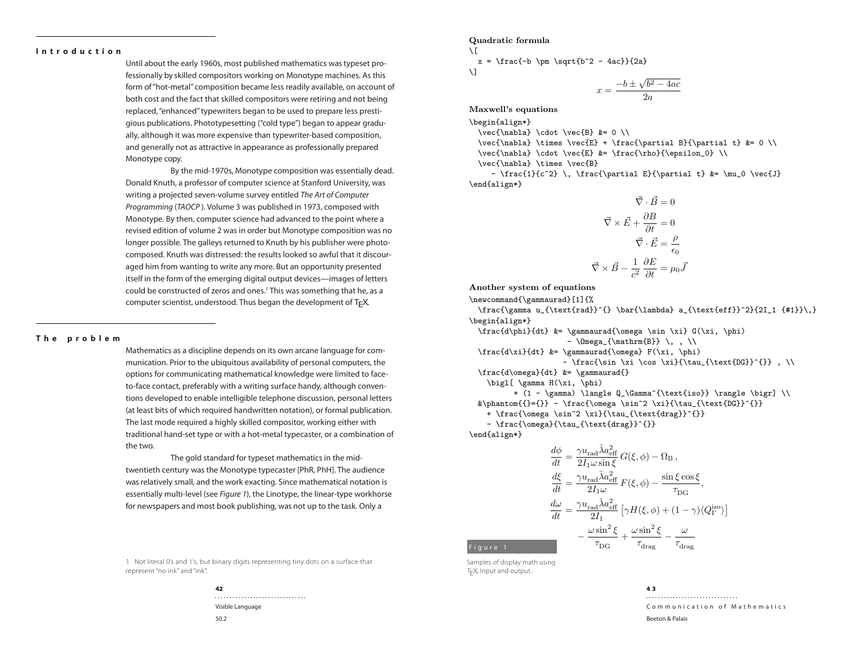# **Introduction**

Until about the early 1960s, most published mathematics was typeset professionally by skilled compositors working on Monotype machines. As this form of "hot-metal" composition became less readily available, on account of both cost and the fact that skilled compositors were retiring and not being replaced, "enhanced" typewriters began to be used to prepare less prestigious publications. Phototypesetting ("cold type") began to appear gradually, although it was more expensive than typewriter-based composition, and generally not as attractive in appearance as professionally prepared Monotype copy.

By the mid-1970s, Monotype composition was essentially dead. Donald Knuth, a professor of computer science at Stanford University, was writing a projected seven-volume survey entitled The Art of Computer Programming (TAOCP ). Volume 3 was published in 1973, composed with Monotype. By then, computer science had advanced to the point where a revised edition of volume 2 was in order but Monotype composition was no longer possible. The galleys returned to Knuth by his publisher were photocomposed. Knuth was distressed: the results looked so awful that it discouraged him from wanting to write any more. But an opportunity presented itself in the form of the emerging digital output devices—images of letters could be constructed of zeros and ones.<sup>1</sup> This was something that he, as a computer scientist, understood. Thus began the development of TFX.

# **The problem**

Mathematics as a discipline depends on its own arcane language for communication. Prior to the ubiquitous availability of personal computers, the options for communicating mathematical knowledge were limited to faceto-face contact, preferably with a writing surface handy, although conventions developed to enable intelligible telephone discussion, personal letters (at least bits of which required handwritten notation), or formal publication. The last mode required a highly skilled compositor, working either with traditional hand-set type or with a hot-metal typecaster, or a combination of the two.

The gold standard for typeset mathematics in the midtwentieth century was the Monotype typecaster [PhR, PhH]. The audience was relatively small, and the work exacting. Since mathematical notation is essentially multi-level (see Figure 1), the Linotype, the linear-type workhorse for newspapers and most book publishing, was not up to the task. Only a

1 Not literal 0's and 1's, but binary digits representing tiny dots on a surface that represent "no ink" and "ink".



 $\sqrt{2}$  $x = \frac{-b \pm \sqrt{b^2 - 4ac}}{2a}$ 

$$
\setminus \mathbf{1}
$$

$$
x = \frac{-b \pm \sqrt{b^2 - 4ac}}{2a}
$$

Maxwell's equations

\begin{align\*}

 $\vec{\nabla} \cdot \vec{B}$  &= 0 \\

\vec{\nabla} \times \vec{E} + \frac{\partial B}{\partial t} &= 0 \\

 $\vec{\nabla} \cdot \vec{E}$  &= \frac{\rho}{\epsilon\_0} \\

\vec{\nabla} \times \vec{B}

-  $\frac{1}{c^2} \, \frac{\partial E}{\partial t} > \mu_0 \vec{J}$ \end{align\*}

$$
\vec{\nabla} \cdot \vec{B} = 0
$$

$$
\vec{\nabla} \times \vec{E} + \frac{\partial B}{\partial t} = 0
$$

$$
\vec{\nabla} \cdot \vec{E} = \frac{\rho}{\epsilon_0}
$$

$$
\vec{\nabla} \times \vec{B} - \frac{1}{c^2} \frac{\partial E}{\partial t} = \mu_0 \vec{J}
$$

Another system of equations

\newcommand{\gammaurad}[1]{%

\frac{\gamma u\_{\text{rad}}^{} \bar{\lambda} a\_{\text{eff}}^2}{2I\_1 {#1}}\,} \begin{align\*}  $\frac{d\phi}{dt}$  &= \gammaurad{\omega \sin \xi} G(\xi, \phi)

 $- \Omega_{\mathrm{B}} \, \, , \, \, \, \}$ 

 $\frac{d\xi}{dt}$  &= \gammaurad{\omega} F(\xi, \phi)

- \frac{\sin \xi \cos \xi}{\tau\_{\text{DG}}^{}} , \\ \frac{d\omega}{dt} &= \gammaurad{}

\bigl[ \gamma H(\xi, \phi)

+ (1 - \gamma) \langle Q\_\Gamma^{\text{iso}} \rangle \bigr] \\ &\phantom{{}={}} - \frac{\omega \sin^2 \xi}{\tau\_{\text{DG}}^{}}

+ \frac{\omega \sin^2 \xi}{\tau\_{\text{drag}}^{}}

- \frac{\omega}{\tau\_{\text{drag}}^{}}

\end{align\*}

Figure 1

$$
\begin{split} \frac{d\phi}{dt} &= \frac{\gamma u_{\rm rad} \bar{\lambda} a_{\rm eff}^2}{2 I_1 \omega \sin \xi} G(\xi,\phi) - \Omega_{\rm B} \,, \\ \frac{d\xi}{dt} &= \frac{\gamma u_{\rm rad} \bar{\lambda} a_{\rm eff}^2}{2 I_1 \omega} \, F(\xi,\phi) - \frac{\sin \xi \cos \xi}{\tau_{\rm DG}} \,, \\ \frac{d\omega}{dt} &= \frac{\gamma u_{\rm rad} \bar{\lambda} a_{\rm eff}^2}{2 I_1} \left[ \gamma H(\xi,\phi) + (1-\gamma) \langle Q_{\Gamma}^{\rm iso} \rangle \right] \\ &\quad - \frac{\omega \sin^2 \xi}{\tau_{\rm DG}} + \frac{\omega \sin^2 \xi}{\tau_{\rm drag}} - \frac{\omega}{\tau_{\rm drag}} \end{split}
$$

Samples of display math using T<sub>E</sub>X, Input and output.

> 4 3

Communication of Mathematics Beeton & Palais

$$
42
$$

Visible Language 50.2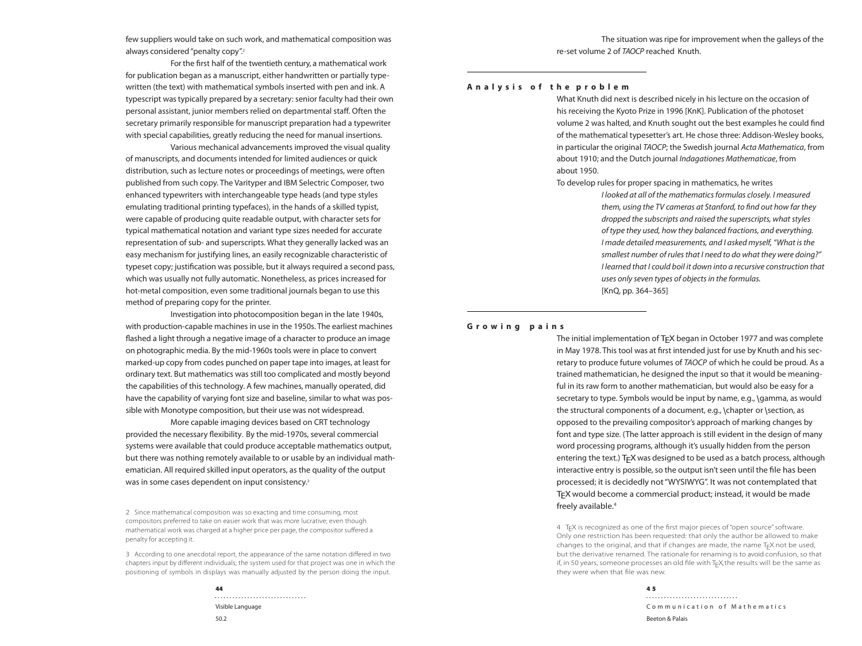few suppliers would take on such work, and mathematical composition was always considered "penalty copy".<sup>2</sup>

For the first half of the twentieth century, a mathematical work for publication began as a manuscript, either handwritten or partially typewritten (the text) with mathematical symbols inserted with pen and ink. A typescript was typically prepared by a secretary: senior faculty had their own personal assistant, junior members relied on departmental staf. Often the secretary primarily responsible for manuscript preparation had a typewriter with special capabilities, greatly reducing the need for manual insertions.

Various mechanical advancements improved the visual quality of manuscripts, and documents intended for limited audiences or quick distribution, such as lecture notes or proceedings of meetings, were often published from such copy. The Varityper and IBM Selectric Composer, two enhanced typewriters with interchangeable type heads (and type styles emulating traditional printing typefaces), in the hands of a skilled typist, were capable of producing quite readable output, with character sets for typical mathematical notation and variant type sizes needed for accurate representation of sub- and superscripts. What they generally lacked was an easy mechanism for justifying lines, an easily recognizable characteristic of typeset copy; justification was possible, but it always required a second pass, which was usually not fully automatic. Nonetheless, as prices increased for hot-metal composition, even some traditional journals began to use this method of preparing copy for the printer.

Investigation into photocomposition began in the late 1940s, with production-capable machines in use in the 1950s. The earliest machines flashed a light through a negative image of a character to produce an image on photographic media. By the mid-1960s tools were in place to convert marked-up copy from codes punched on paper tape into images, at least for ordinary text. But mathematics was still too complicated and mostly beyond the capabilities of this technology. A few machines, manually operated, did have the capability of varying font size and baseline, similar to what was possible with Monotype composition, but their use was not widespread.

More capable imaging devices based on CRT technology provided the necessary flexibility. By the mid-1970s, several commercial systems were available that could produce acceptable mathematics output, but there was nothing remotely available to or usable by an individual mathematician. All required skilled input operators, as the quality of the output was in some cases dependent on input consistency.<sup>3</sup>

2 Since mathematical composition was so exacting and time consuming, most compositors preferred to take on easier work that was more lucrative; even though mathematical work was charged at a higher price per page, the compositor suffered a penalty for accepting it.

3 According to one anecdotal report, the appearance of the same notation differed in two chapters input by different individuals; the system used for that project was one in which the positioning of symbols in displays was manually adjusted by the person doing the input.

> Visible Language 50.2

The situation was ripe for improvement when the galleys of the re-set volume 2 of TAOCP reached Knuth.

## **A n a l y s i s o f t h e p r o b l e m**

What Knuth did next is described nicely in his lecture on the occasion of his receiving the Kyoto Prize in 1996 [KnK]. Publication of the photoset volume 2 was halted, and Knuth sought out the best examples he could find of the mathematical typesetter's art. He chose three: Addison-Wesley books, in particular the original TAOCP; the Swedish journal Acta Mathematica, from about 1910; and the Dutch journal Indagationes Mathematicae, from about 1950.

To develop rules for proper spacing in mathematics, he writes

I looked at all of the mathematics formulas closely. I measured them, using the TV cameras at Stanford, to find out how far they dropped the subscripts and raised the superscripts, what styles of type they used, how they balanced fractions, and everything. I made detailed measurements, and I asked myself, "What is the smallest number of rules that I need to do what they were doing?" I learned that I could boil it down into a recursive construction that uses only seven types of objects in the formulas. [KnQ, pp. 364–365]

# **Growing pains**

The initial implementation of T<sub>F</sub>X began in October 1977 and was complete in May 1978. This tool was at first intended just for use by Knuth and his secretary to produce future volumes of TAOCP of which he could be proud. As a trained mathematician, he designed the input so that it would be meaningful in its raw form to another mathematician, but would also be easy for a secretary to type. Symbols would be input by name, e.g., \gamma, as would the structural components of a document, e.g., \chapter or \section, as opposed to the prevailing compositor's approach of marking changes by font and type size. (The latter approach is still evident in the design of many word processing programs, although it's usually hidden from the person entering the text.) T<sub>F</sub>X was designed to be used as a batch process, although interactive entry is possible, so the output isn't seen until the file has been processed; it is decidedly not "WYSIWYG". It was not contemplated that T<sub>F</sub>X would become a commercial product; instead, it would be made freely available.<sup>4</sup>

4 TE X is recognized as one of the first major pieces of "open source" software. Only one restriction has been requested: that only the author be allowed to make changes to the original, and that if changes are made, the name  $T<sub>E</sub>X$  not be used, but the derivative renamed. The rationale for renaming is to avoid confusion, so that if, in 50 years, someone processes an old file with T<sub>E</sub>X, the results will be the same as they were when that file was new.

> 4 5

Communication of Mathematics Beeton & Palais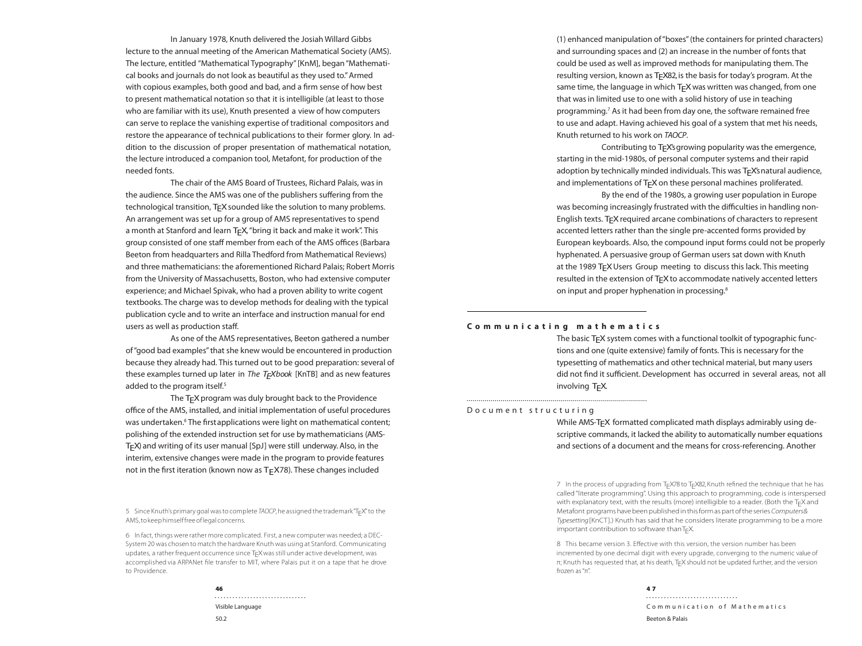In January 1978, Knuth delivered the Josiah Willard Gibbs lecture to the annual meeting of the American Mathematical Society (AMS). The lecture, entitled "Mathematical Typography" [KnM], began "Mathematical books and journals do not look as beautiful as they used to." Armed with copious examples, both good and bad, and a firm sense of how best to present mathematical notation so that it is intelligible (at least to those who are familiar with its use), Knuth presented a view of how computers can serve to replace the vanishing expertise of traditional compositors and restore the appearance of technical publications to their former glory. In addition to the discussion of proper presentation of mathematical notation, the lecture introduced a companion tool, Metafont, for production of the needed fonts.

The chair of the AMS Board of Trustees, Richard Palais, was in the audience. Since the AMS was one of the publishers sufering from the technological transition, T<sub>F</sub>X sounded like the solution to many problems. An arrangement was set up for a group of AMS representatives to spend a month at Stanford and learn T<sub>F</sub>X, "bring it back and make it work". This group consisted of one staff member from each of the AMS offices (Barbara Beeton from headquarters and Rilla Thedford from Mathematical Reviews) and three mathematicians: the aforementioned Richard Palais; Robert Morris from the University of Massachusetts, Boston, who had extensive computer experience; and Michael Spivak, who had a proven ability to write cogent textbooks. The charge was to develop methods for dealing with the typical publication cycle and to write an interface and instruction manual for end users as well as production staf.

As one of the AMS representatives, Beeton gathered a number of "good bad examples" that she knew would be encountered in production because they already had. This turned out to be good preparation: several of these examples turned up later in The  $T_F X book$  [KnTB] and as new features added to the program itself.<sup>5</sup>

The T<sub>F</sub>X program was duly brought back to the Providence office of the AMS, installed, and initial implementation of useful procedures was undertaken.<sup>6</sup> The first applications were light on mathematical content; polishing of the extended instruction set for use by mathematicians (AMS-TEX) and writing of its user manual [SpJ] were still underway. Also, in the interim, extensive changes were made in the program to provide features not in the first iteration (known now as  $T<sub>E</sub>$ X78). These changes included

5 Since Knuth's primary goal was to complete TAOCP, he assigned the trademark "TEX" to the AMS, to keep himself free of legal concerns.

6 In fact, things were rather more complicated. First, a new computer was needed; a DEC-System 20 was chosen to match the hardware Knuth was using at Stanford. Communicating updates, a rather frequent occurrence since T<sub>E</sub>X was still under active development, was accomplished via ARPANet file transfer to MIT, where Palais put it on a tape that he drove to Providence.

(1) enhanced manipulation of "boxes" (the containers for printed characters) and surrounding spaces and (2) an increase in the number of fonts that could be used as well as improved methods for manipulating them. The resulting version, known as T<sub>F</sub>X82, is the basis for today's program. At the same time, the language in which  $TrX$  was written was changed, from one that was in limited use to one with a solid history of use in teaching programming.<sup>7</sup> As it had been from day one, the software remained free to use and adapt. Having achieved his goal of a system that met his needs, Knuth returned to his work on TAOCP.

Contributing to T<sub>F</sub>X's growing popularity was the emergence, starting in the mid-1980s, of personal computer systems and their rapid adoption by technically minded individuals. This was TFX's natural audience, and implementations of  $TrX$  on these personal machines proliferated.

By the end of the 1980s, a growing user population in Europe was becoming increasingly frustrated with the difficulties in handling non-English texts. T<sub>F</sub>X required arcane combinations of characters to represent accented letters rather than the single pre-accented forms provided by European keyboards. Also, the compound input forms could not be properly hyphenated. A persuasive group of German users sat down with Knuth at the 1989 TFX Users Group meeting to discuss this lack. This meeting resulted in the extension of TFX to accommodate natively accented letters on input and proper hyphenation in processing.<sup>8</sup>

## **Communicating mathematics**

The basic T<sub>F</sub>X system comes with a functional toolkit of typographic functions and one (quite extensive) family of fonts. This is necessary for the typesetting of mathematics and other technical material, but many users did not find it sufficient. Development has occurred in several areas, not all involving TEX.

#### D o c u m e n t s t r u c t u r i n g

While AMS-T<sub>F</sub>X formatted complicated math displays admirably using descriptive commands, it lacked the ability to automatically number equations and sections of a document and the means for cross-referencing. Another

7 In the process of upgrading from T<sub>E</sub>X78 to T<sub>E</sub>X82, Knuth refined the technique that he has called "literate programming". Using this approach to programming, code is interspersed with explanatory text, with the results (more) intelligible to a reader. (Both the T<sub>E</sub>X and Metafont programs have been published in this form as part of the series Computers & Typesetting [KnCT].) Knuth has said that he considers literate programming to be a more important contribution to software than $T_\mathsf{E} \mathsf{X}$ 

8 This became version 3. Effective with this version, the version number has been incremented by one decimal digit with every upgrade, converging to the numeric value of π; Knuth has requested that, at his death, T<sub>E</sub>X should not be updated further, and the version frozen as "π".

> 4 7

Communication of Mathematics Beeton & Palais

Visible Language

50.2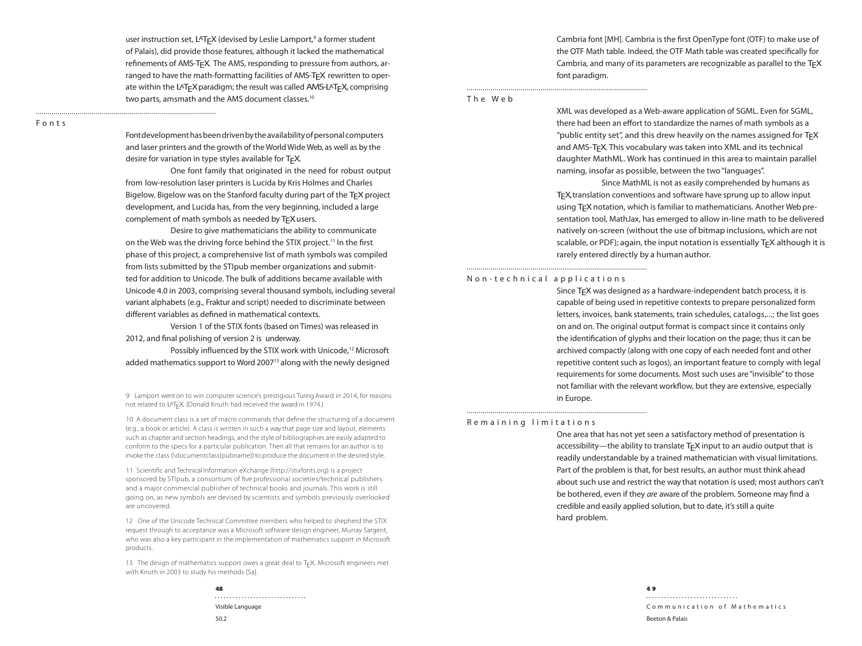user instruction set, LAT<sub>F</sub>X (devised by Leslie Lamport,<sup>9</sup> a former student of Palais), did provide those features, although it lacked the mathematical refinements of AMS-TEX. The AMS, responding to pressure from authors, arranged to have the math-formatting facilities of AMS-T<sub>F</sub>X rewritten to operate within the LAT<sub>F</sub>X paradigm; the result was called AMS-LAT<sub>F</sub>X, comprising two parts, amsmath and the AMS document classes.<sup>10</sup>

Fonts

Font development has been driven by the availability of personal computers and laser printers and the growth of the World Wide Web, as well as by the desire for variation in type styles available for TFX.

One font family that originated in the need for robust output from low-resolution laser printers is Lucida by Kris Holmes and Charles Bigelow. Bigelow was on the Stanford faculty during part of the T<sub>F</sub>X project development, and Lucida has, from the very beginning, included a large complement of math symbols as needed by TFX users.

Desire to give mathematicians the ability to communicate on the Web was the driving force behind the STIX project.<sup>11</sup> In the first phase of this project, a comprehensive list of math symbols was compiled from lists submitted by the STIpub member organizations and submitted for addition to Unicode. The bulk of additions became available with Unicode 4.0 in 2003, comprising several thousand symbols, including several variant alphabets (e.g., Fraktur and script) needed to discriminate between diferent variables as defined in mathematical contexts.

Version 1 of the STIX fonts (based on Times) was released in 2012, and final polishing of version 2 is underway.

Possibly influenced by the STIX work with Unicode,<sup>12</sup> Microsoft added mathematics support to Word 2007<sup>13</sup> along with the newly designed

9 Lamport went on to win computer science's prestigious Turing Award in 2014, for reasons not related to LAT<sub>E</sub>X (Donald Knuth had received the award in 1974.)

10 A document class is a set of macro commands that define the structuring of a document (e.g., a book or article). A class is written in such a way that page size and layout, elements such as chapter and section headings, and the style of bibliographies are easily adapted to conform to the specs for a particular publication. Then all that remains for an author is to invoke the class (\documentclass{pubname}) to produce the document in the desired style.

11 Scientific and Technical Information eXchange (http://stixfonts.org) is a project sponsored by STIpub, a consortium of five professional societies/technical publishers and a major commercial publisher of technical books and journals. This work is still going on, as new symbols are devised by scientists and symbols previously overlooked are uncovered.

12 One of the Unicode Technical Committee members who helped to shepherd the STIX request through to acceptance was a Microsoft software design engineer, Murray Sargent, who was also a key participant in the implementation of mathematics support in Microsoft products.

13 The design of mathematics support owes a great deal to  $T<sub>E</sub>X$ . Microsoft engineers met with Knuth in 2003 to study his methods [Sa].

> 48 Visible Language 50.2

Cambria font [MH]. Cambria is the first OpenType font (OTF) to make use of the OTF Math table. Indeed, the OTF Math table was created specifically for Cambria, and many of its parameters are recognizable as parallel to the  $T_FX$ font paradigm.

The Web

XML was developed as a Web-aware application of SGML. Even for SGML, there had been an effort to standardize the names of math symbols as a "public entity set", and this drew heavily on the names assigned for  $T_FX$ and AMS-T<sub>F</sub>X. This vocabulary was taken into XML and its technical daughter MathML. Work has continued in this area to maintain parallel naming, insofar as possible, between the two "languages".

Since MathML is not as easily comprehended by humans as TEX, translation conventions and software have sprung up to allow input using T<sub>F</sub>X notation, which is familiar to mathematicians. Another Web presentation tool, MathJax, has emerged to allow in-line math to be delivered natively on-screen (without the use of bitmap inclusions, which are not scalable, or PDF); again, the input notation is essentially T<sub>F</sub>X although it is rarely entered directly by a human author.

# Non-technical applications

Since T<sub>F</sub>X was designed as a hardware-independent batch process, it is capable of being used in repetitive contexts to prepare personalized form letters, invoices, bank statements, train schedules, catalogs,...; the list goes on and on. The original output format is compact since it contains only the identification of glyphs and their location on the page; thus it can be archived compactly (along with one copy of each needed font and other repetitive content such as logos), an important feature to comply with legal requirements for some documents. Most such uses are "invisible" to those not familiar with the relevant workflow, but they are extensive, especially in Europe.

# Remaining limitations

One area that has not yet seen a satisfactory method of presentation is accessibility—the ability to translate  $T_F X$  input to an audio output that is readily understandable by a trained mathematician with visual limitations. Part of the problem is that, for best results, an author must think ahead about such use and restrict the way that notation is used; most authors can't be bothered, even if they are aware of the problem. Someone may find a credible and easily applied solution, but to date, it's still a quite hard problem.

> 4 9

Communication of Mathematics Beeton & Palais